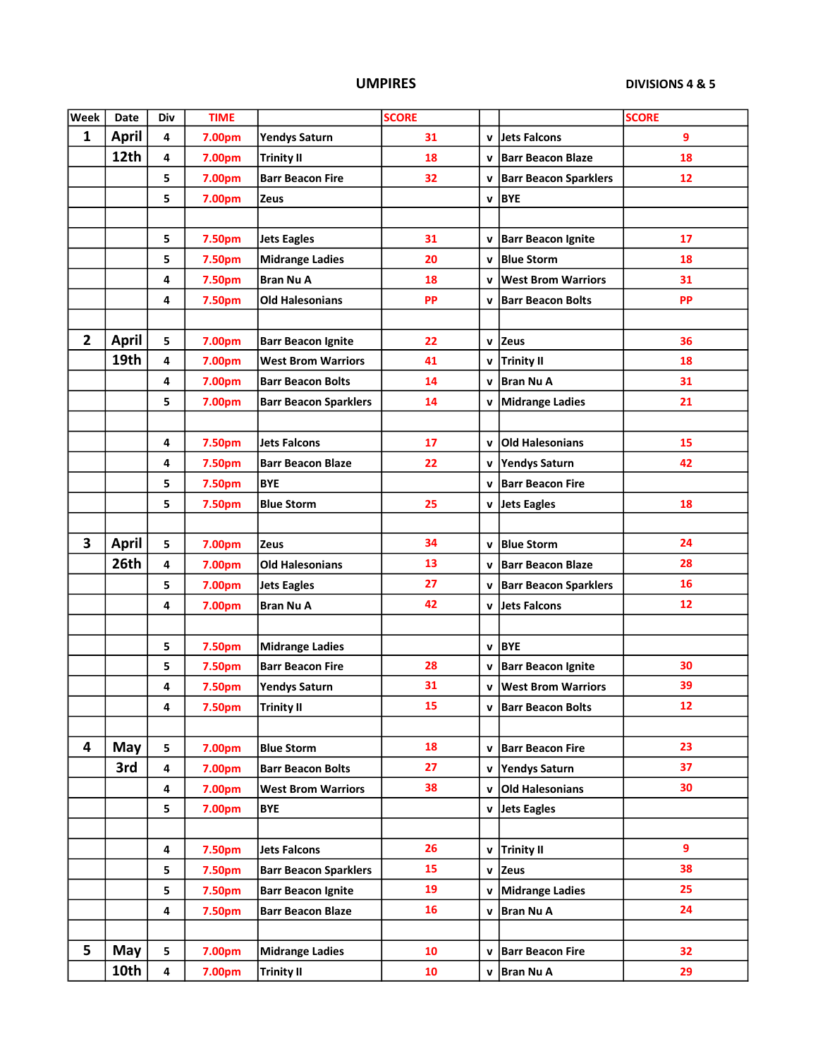## UMPIRES

DIVISIONS 4 & 5

| <b>Week</b>    | Date         | Div                     | <b>TIME</b> |                              | <b>SCORE</b> |              |                              | <b>SCORE</b>      |
|----------------|--------------|-------------------------|-------------|------------------------------|--------------|--------------|------------------------------|-------------------|
| $\mathbf{1}$   | <b>April</b> | 4                       | 7.00pm      | <b>Yendys Saturn</b>         | 31           | $\mathbf v$  | Jets Falcons                 | 9                 |
|                | 12th         | 4                       | 7.00pm      | <b>Trinity II</b>            | 18           | $\mathbf{v}$ | <b>Barr Beacon Blaze</b>     | 18                |
|                |              | 5                       | 7.00pm      | <b>Barr Beacon Fire</b>      | 32           | $\mathbf{v}$ | <b>Barr Beacon Sparklers</b> | 12                |
|                |              | 5                       | 7.00pm      | Zeus                         |              | v            | <b>BYE</b>                   |                   |
|                |              |                         |             |                              |              |              |                              |                   |
|                |              | 5                       | 7.50pm      | <b>Jets Eagles</b>           | 31           | v            | <b>Barr Beacon Ignite</b>    | 17                |
|                |              | 5                       | 7.50pm      | <b>Midrange Ladies</b>       | 20           | $\mathbf v$  | <b>Blue Storm</b>            | 18                |
|                |              | 4                       | 7.50pm      | <b>Bran Nu A</b>             | 18           | $\mathbf{v}$ | <b>West Brom Warriors</b>    | 31                |
|                |              | 4                       | 7.50pm      | <b>Old Halesonians</b>       | <b>PP</b>    | $\mathbf v$  | <b>Barr Beacon Bolts</b>     | <b>PP</b>         |
|                |              |                         |             |                              |              |              |                              |                   |
| $\overline{2}$ | <b>April</b> | 5                       | 7.00pm      | <b>Barr Beacon Ignite</b>    | 22           | v            | <b>Zeus</b>                  | 36                |
|                | 19th         | 4                       | 7.00pm      | <b>West Brom Warriors</b>    | 41           | v            | <b>Trinity II</b>            | 18                |
|                |              | 4                       | 7.00pm      | <b>Barr Beacon Bolts</b>     | 14           | $\mathbf{v}$ | <b>Bran Nu A</b>             | 31                |
|                |              | 5                       | 7.00pm      | <b>Barr Beacon Sparklers</b> | 14           | $\mathbf v$  | Midrange Ladies              | 21                |
|                |              |                         |             |                              |              |              |                              |                   |
|                |              | 4                       | 7.50pm      | <b>Jets Falcons</b>          | 17           | $\mathbf{v}$ | <b>Old Halesonians</b>       | 15                |
|                |              | 4                       | 7.50pm      | <b>Barr Beacon Blaze</b>     | 22           | $\mathbf v$  | <b>Yendys Saturn</b>         | 42                |
|                |              | 5                       | 7.50pm      | <b>BYE</b>                   |              | $\mathbf v$  | <b>Barr Beacon Fire</b>      |                   |
|                |              | 5                       | 7.50pm      | <b>Blue Storm</b>            | 25           |              | v Jets Eagles                | 18                |
|                |              |                         |             |                              |              |              |                              |                   |
| 3              | <b>April</b> | 5                       | 7.00pm      | Zeus                         | 34           | $\mathbf{v}$ | <b>Blue Storm</b>            | 24                |
|                | 26th         | 4                       | 7.00pm      | <b>Old Halesonians</b>       | 13           | v            | <b>Barr Beacon Blaze</b>     | 28                |
|                |              | 5                       | 7.00pm      | <b>Jets Eagles</b>           | 27           | $\mathbf v$  | <b>Barr Beacon Sparklers</b> | 16                |
|                |              | 4                       | 7.00pm      | <b>Bran Nu A</b>             | 42           | $\mathbf{v}$ | Jets Falcons                 | 12                |
|                |              |                         |             |                              |              |              |                              |                   |
|                |              | 5                       | 7.50pm      | <b>Midrange Ladies</b>       |              | $\mathbf v$  | <b>BYE</b>                   |                   |
|                |              | 5                       | 7.50pm      | <b>Barr Beacon Fire</b>      | 28           | $\mathbf{v}$ | <b>Barr Beacon Ignite</b>    | 30                |
|                |              | 4                       | 7.50pm      | <b>Yendys Saturn</b>         | 31           | $\mathbf{v}$ | <b>West Brom Warriors</b>    | 39                |
|                |              | 4                       | 7.50pm      | <b>Trinity II</b>            | 15           |              | v   Barr Beacon Bolts        | $12 \overline{ }$ |
|                |              |                         |             |                              |              |              |                              |                   |
| 4              | May          | 5                       | 7.00pm      | <b>Blue Storm</b>            | 18           |              | v   Barr Beacon Fire         | 23                |
|                | 3rd          | 4                       | 7.00pm      | <b>Barr Beacon Bolts</b>     | 27           | $\mathbf v$  | Yendys Saturn                | 37                |
|                |              | 4                       | 7.00pm      | <b>West Brom Warriors</b>    | 38           | $\mathbf v$  | <b>Old Halesonians</b>       | 30                |
|                |              | 5                       | 7.00pm      | <b>BYE</b>                   |              |              | v Jets Eagles                |                   |
|                |              |                         |             |                              |              |              |                              |                   |
|                |              | 4                       | 7.50pm      | <b>Jets Falcons</b>          | 26           |              | v Trinity II                 | $\overline{9}$    |
|                |              | 5                       | 7.50pm      | <b>Barr Beacon Sparklers</b> | 15           | $\mathbf v$  | <b>Zeus</b>                  | 38                |
|                |              | 5                       | 7.50pm      | <b>Barr Beacon Ignite</b>    | 19           | v            | Midrange Ladies              | 25                |
|                |              | 4                       | 7.50pm      | <b>Barr Beacon Blaze</b>     | 16           | $\mathbf v$  | <b>Bran Nu A</b>             | 24                |
|                |              |                         |             |                              |              |              |                              |                   |
| 5              | May          | 5                       | 7.00pm      | <b>Midrange Ladies</b>       | 10           | $\mathbf v$  | <b>Barr Beacon Fire</b>      | 32                |
|                | 10th         | $\overline{\mathbf{4}}$ | 7.00pm      | <b>Trinity II</b>            | 10           |              | v   Bran Nu A                | 29                |